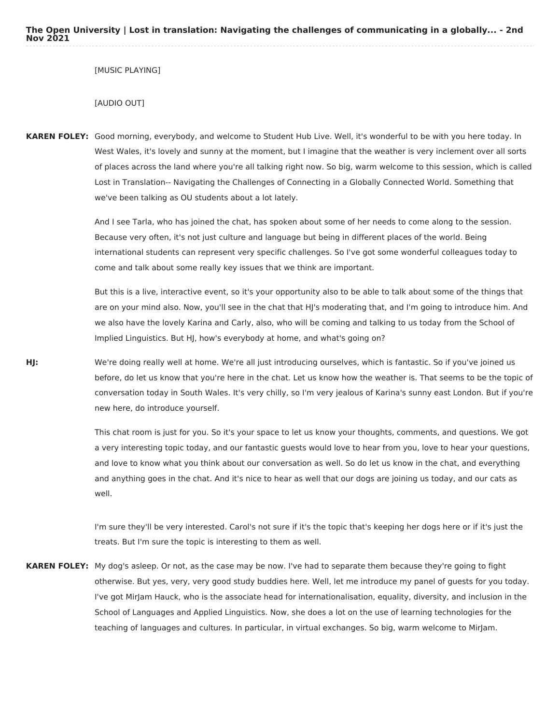[MUSIC PLAYING]

## [AUDIO OUT]

**KAREN FOLEY:** Good morning, everybody, and welcome to Student Hub Live. Well, it's wonderful to be with you here today. In West Wales, it's lovely and sunny at the moment, but I imagine that the weather is very inclement over all sorts of places across the land where you're all talking right now. So big, warm welcome to this session, which is called Lost in Translation-- Navigating the Challenges of Connecting in a Globally Connected World. Something that we've been talking as OU students about a lot lately.

> And I see Tarla, who has joined the chat, has spoken about some of her needs to come along to the session. Because very often, it's not just culture and language but being in different places of the world. Being international students can represent very specific challenges. So I've got some wonderful colleagues today to come and talk about some really key issues that we think are important.

But this is a live, interactive event, so it's your opportunity also to be able to talk about some of the things that are on your mind also. Now, you'll see in the chat that HJ's moderating that, and I'm going to introduce him. And we also have the lovely Karina and Carly, also, who will be coming and talking to us today from the School of Implied Linguistics. But HJ, how's everybody at home, and what's going on?

**HJ:** We're doing really well at home. We're all just introducing ourselves, which is fantastic. So if you've joined us before, do let us know that you're here in the chat. Let us know how the weather is. That seems to be the topic of conversation today in South Wales. It's very chilly, so I'm very jealous of Karina's sunny east London. But if you're new here, do introduce yourself.

> This chat room is just for you. So it's your space to let us know your thoughts, comments, and questions. We got a very interesting topic today, and our fantastic guests would love to hear from you, love to hear your questions, and love to know what you think about our conversation as well. So do let us know in the chat, and everything and anything goes in the chat. And it's nice to hear as well that our dogs are joining us today, and our cats as well.

I'm sure they'll be very interested. Carol's not sure if it's the topic that's keeping her dogs here or if it's just the treats. But I'm sure the topic is interesting to them as well.

**KAREN FOLEY:** My dog's asleep. Or not, as the case may be now. I've had to separate them because they're going to fight otherwise. But yes, very, very good study buddies here. Well, let me introduce my panel of guests for you today. I've got MirJam Hauck, who is the associate head for internationalisation, equality, diversity, and inclusion in the School of Languages and Applied Linguistics. Now, she does a lot on the use of learning technologies for the teaching of languages and cultures. In particular, in virtual exchanges. So big, warm welcome to MirJam.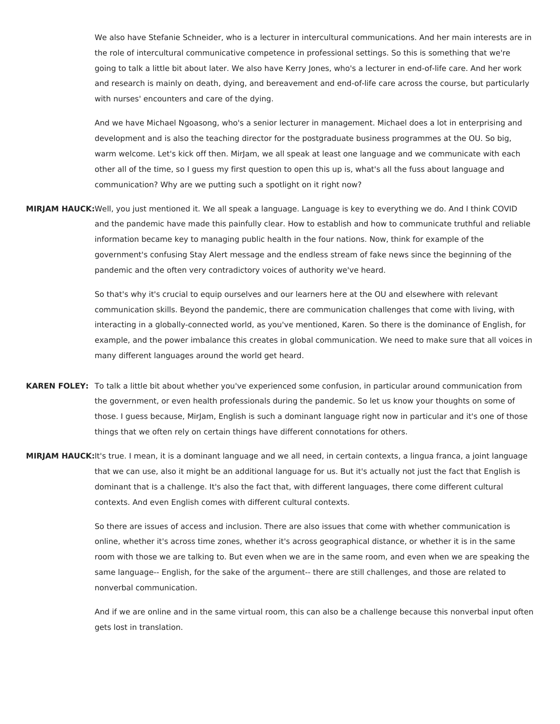We also have Stefanie Schneider, who is a lecturer in intercultural communications. And her main interests are in the role of intercultural communicative competence in professional settings. So this is something that we're going to talk a little bit about later. We also have Kerry Jones, who's a lecturer in end-of-life care. And her work and research is mainly on death, dying, and bereavement and end-of-life care across the course, but particularly with nurses' encounters and care of the dying.

And we have Michael Ngoasong, who's a senior lecturer in management. Michael does a lot in enterprising and development and is also the teaching director for the postgraduate business programmes at the OU. So big, warm welcome. Let's kick off then. MirJam, we all speak at least one language and we communicate with each other all of the time, so I guess my first question to open this up is, what's all the fuss about language and communication? Why are we putting such a spotlight on it right now?

**MIRJAM HAUCK:**Well, you just mentioned it. We all speak a language. Language is key to everything we do. And I think COVID and the pandemic have made this painfully clear. How to establish and how to communicate truthful and reliable information became key to managing public health in the four nations. Now, think for example of the government's confusing Stay Alert message and the endless stream of fake news since the beginning of the pandemic and the often very contradictory voices of authority we've heard.

> So that's why it's crucial to equip ourselves and our learners here at the OU and elsewhere with relevant communication skills. Beyond the pandemic, there are communication challenges that come with living, with interacting in a globally-connected world, as you've mentioned, Karen. So there is the dominance of English, for example, and the power imbalance this creates in global communication. We need to make sure that all voices in many different languages around the world get heard.

- **KAREN FOLEY:** To talk a little bit about whether you've experienced some confusion, in particular around communication from the government, or even health professionals during the pandemic. So let us know your thoughts on some of those. I guess because, MirJam, English is such a dominant language right now in particular and it's one of those things that we often rely on certain things have different connotations for others.
- **MIRJAM HAUCK:**It's true. I mean, it is a dominant language and we all need, in certain contexts, a lingua franca, a joint language that we can use, also it might be an additional language for us. But it's actually not just the fact that English is dominant that is a challenge. It's also the fact that, with different languages, there come different cultural contexts. And even English comes with different cultural contexts.

So there are issues of access and inclusion. There are also issues that come with whether communication is online, whether it's across time zones, whether it's across geographical distance, or whether it is in the same room with those we are talking to. But even when we are in the same room, and even when we are speaking the same language-- English, for the sake of the argument-- there are still challenges, and those are related to nonverbal communication.

And if we are online and in the same virtual room, this can also be a challenge because this nonverbal input often gets lost in translation.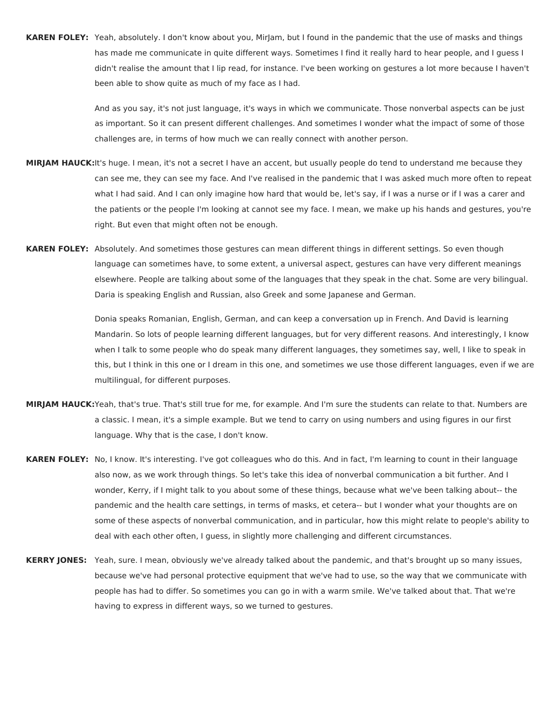**KAREN FOLEY:** Yeah, absolutely. I don't know about you, MirJam, but I found in the pandemic that the use of masks and things has made me communicate in quite different ways. Sometimes I find it really hard to hear people, and I guess I didn't realise the amount that I lip read, for instance. I've been working on gestures a lot more because I haven't been able to show quite as much of my face as I had.

> And as you say, it's not just language, it's ways in which we communicate. Those nonverbal aspects can be just as important. So it can present different challenges. And sometimes I wonder what the impact of some of those challenges are, in terms of how much we can really connect with another person.

- **MIRJAM HAUCK:**It's huge. I mean, it's not a secret I have an accent, but usually people do tend to understand me because they can see me, they can see my face. And I've realised in the pandemic that I was asked much more often to repeat what I had said. And I can only imagine how hard that would be, let's say, if I was a nurse or if I was a carer and the patients or the people I'm looking at cannot see my face. I mean, we make up his hands and gestures, you're right. But even that might often not be enough.
- **KAREN FOLEY:** Absolutely. And sometimes those gestures can mean different things in different settings. So even though language can sometimes have, to some extent, a universal aspect, gestures can have very different meanings elsewhere. People are talking about some of the languages that they speak in the chat. Some are very bilingual. Daria is speaking English and Russian, also Greek and some Japanese and German.

Donia speaks Romanian, English, German, and can keep a conversation up in French. And David is learning Mandarin. So lots of people learning different languages, but for very different reasons. And interestingly, I know when I talk to some people who do speak many different languages, they sometimes say, well, I like to speak in this, but I think in this one or I dream in this one, and sometimes we use those different languages, even if we are multilingual, for different purposes.

- **MIRJAM HAUCK:**Yeah, that's true. That's still true for me, for example. And I'm sure the students can relate to that. Numbers are a classic. I mean, it's a simple example. But we tend to carry on using numbers and using figures in our first language. Why that is the case, I don't know.
- **KAREN FOLEY:** No, I know. It's interesting. I've got colleagues who do this. And in fact, I'm learning to count in their language also now, as we work through things. So let's take this idea of nonverbal communication a bit further. And I wonder, Kerry, if I might talk to you about some of these things, because what we've been talking about-- the pandemic and the health care settings, in terms of masks, et cetera-- but I wonder what your thoughts are on some of these aspects of nonverbal communication, and in particular, how this might relate to people's ability to deal with each other often, I guess, in slightly more challenging and different circumstances.
- **KERRY JONES:** Yeah, sure. I mean, obviously we've already talked about the pandemic, and that's brought up so many issues, because we've had personal protective equipment that we've had to use, so the way that we communicate with people has had to differ. So sometimes you can go in with a warm smile. We've talked about that. That we're having to express in different ways, so we turned to gestures.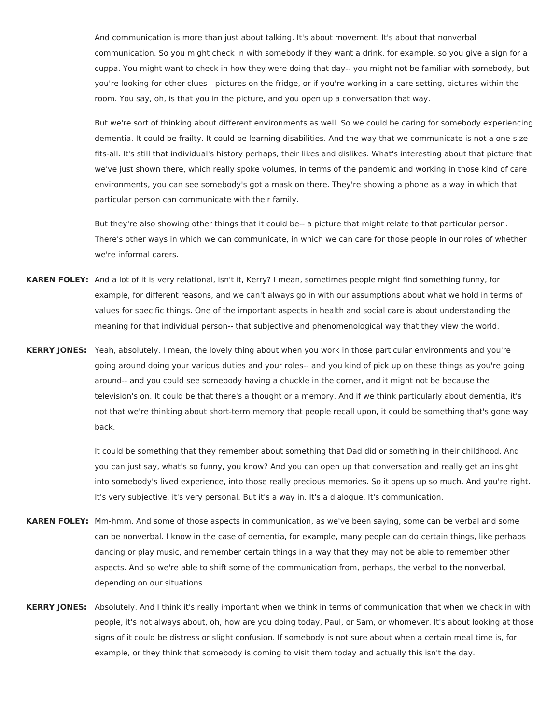And communication is more than just about talking. It's about movement. It's about that nonverbal communication. So you might check in with somebody if they want a drink, for example, so you give a sign for a cuppa. You might want to check in how they were doing that day-- you might not be familiar with somebody, but you're looking for other clues-- pictures on the fridge, or if you're working in a care setting, pictures within the room. You say, oh, is that you in the picture, and you open up a conversation that way.

But we're sort of thinking about different environments as well. So we could be caring for somebody experiencing dementia. It could be frailty. It could be learning disabilities. And the way that we communicate is not a one-sizefits-all. It's still that individual's history perhaps, their likes and dislikes. What's interesting about that picture that we've just shown there, which really spoke volumes, in terms of the pandemic and working in those kind of care environments, you can see somebody's got a mask on there. They're showing a phone as a way in which that particular person can communicate with their family.

But they're also showing other things that it could be-- a picture that might relate to that particular person. There's other ways in which we can communicate, in which we can care for those people in our roles of whether we're informal carers.

- **KAREN FOLEY:** And a lot of it is very relational, isn't it, Kerry? I mean, sometimes people might find something funny, for example, for different reasons, and we can't always go in with our assumptions about what we hold in terms of values for specific things. One of the important aspects in health and social care is about understanding the meaning for that individual person-- that subjective and phenomenological way that they view the world.
- **KERRY JONES:** Yeah, absolutely. I mean, the lovely thing about when you work in those particular environments and you're going around doing your various duties and your roles-- and you kind of pick up on these things as you're going around-- and you could see somebody having a chuckle in the corner, and it might not be because the television's on. It could be that there's a thought or a memory. And if we think particularly about dementia, it's not that we're thinking about short-term memory that people recall upon, it could be something that's gone way back.

It could be something that they remember about something that Dad did or something in their childhood. And you can just say, what's so funny, you know? And you can open up that conversation and really get an insight into somebody's lived experience, into those really precious memories. So it opens up so much. And you're right. It's very subjective, it's very personal. But it's a way in. It's a dialogue. It's communication.

- **KAREN FOLEY:** Mm-hmm. And some of those aspects in communication, as we've been saying, some can be verbal and some can be nonverbal. I know in the case of dementia, for example, many people can do certain things, like perhaps dancing or play music, and remember certain things in a way that they may not be able to remember other aspects. And so we're able to shift some of the communication from, perhaps, the verbal to the nonverbal, depending on our situations.
- **KERRY JONES:** Absolutely. And I think it's really important when we think in terms of communication that when we check in with people, it's not always about, oh, how are you doing today, Paul, or Sam, or whomever. It's about looking at those signs of it could be distress or slight confusion. If somebody is not sure about when a certain meal time is, for example, or they think that somebody is coming to visit them today and actually this isn't the day.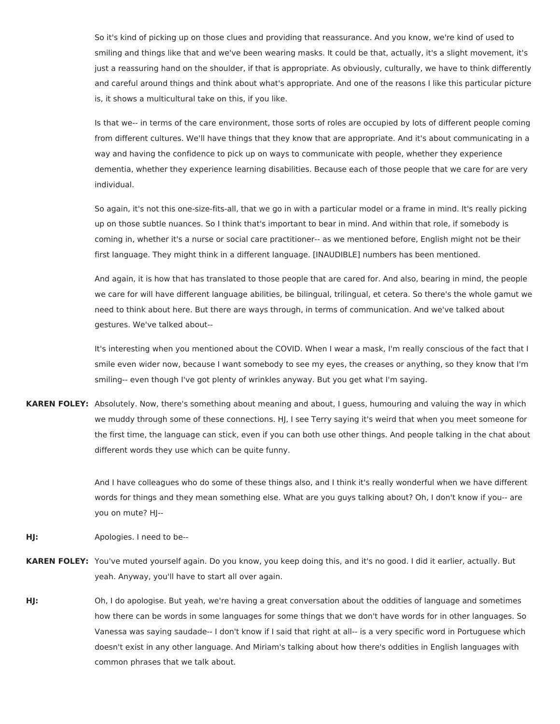So it's kind of picking up on those clues and providing that reassurance. And you know, we're kind of used to smiling and things like that and we've been wearing masks. It could be that, actually, it's a slight movement, it's just a reassuring hand on the shoulder, if that is appropriate. As obviously, culturally, we have to think differently and careful around things and think about what's appropriate. And one of the reasons I like this particular picture is, it shows a multicultural take on this, if you like.

Is that we-- in terms of the care environment, those sorts of roles are occupied by lots of different people coming from different cultures. We'll have things that they know that are appropriate. And it's about communicating in a way and having the confidence to pick up on ways to communicate with people, whether they experience dementia, whether they experience learning disabilities. Because each of those people that we care for are very individual.

So again, it's not this one-size-fits-all, that we go in with a particular model or a frame in mind. It's really picking up on those subtle nuances. So I think that's important to bear in mind. And within that role, if somebody is coming in, whether it's a nurse or social care practitioner-- as we mentioned before, English might not be their first language. They might think in a different language. [INAUDIBLE] numbers has been mentioned.

And again, it is how that has translated to those people that are cared for. And also, bearing in mind, the people we care for will have different language abilities, be bilingual, trilingual, et cetera. So there's the whole gamut we need to think about here. But there are ways through, in terms of communication. And we've talked about gestures. We've talked about--

It's interesting when you mentioned about the COVID. When I wear a mask, I'm really conscious of the fact that I smile even wider now, because I want somebody to see my eyes, the creases or anything, so they know that I'm smiling-- even though I've got plenty of wrinkles anyway. But you get what I'm saying.

**KAREN FOLEY:** Absolutely. Now, there's something about meaning and about, I guess, humouring and valuing the way in which we muddy through some of these connections. HJ, I see Terry saying it's weird that when you meet someone for the first time, the language can stick, even if you can both use other things. And people talking in the chat about different words they use which can be quite funny.

> And I have colleagues who do some of these things also, and I think it's really wonderful when we have different words for things and they mean something else. What are you guys talking about? Oh, I don't know if you-- are you on mute? HJ--

**HJ:** Apologies. I need to be--

- **KAREN FOLEY:** You've muted yourself again. Do you know, you keep doing this, and it's no good. I did it earlier, actually. But yeah. Anyway, you'll have to start all over again.
- **HJ:** Oh, I do apologise. But yeah, we're having a great conversation about the oddities of language and sometimes how there can be words in some languages for some things that we don't have words for in other languages. So Vanessa was saying saudade-- I don't know if I said that right at all-- is a very specific word in Portuguese which doesn't exist in any other language. And Miriam's talking about how there's oddities in English languages with common phrases that we talk about.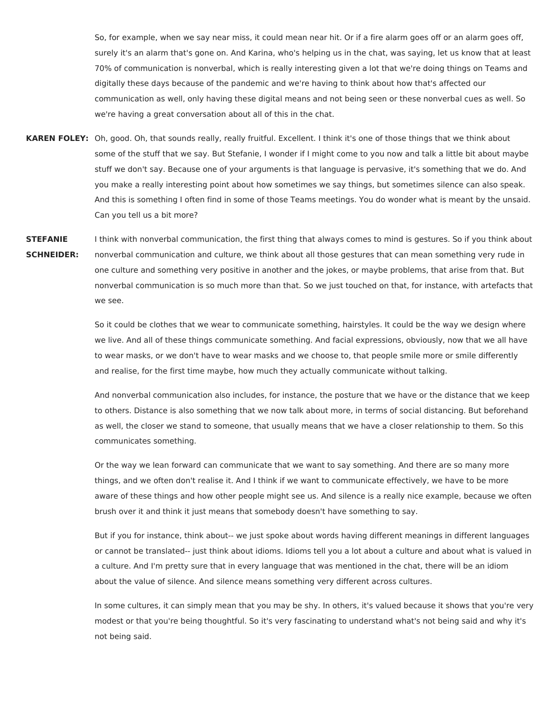So, for example, when we say near miss, it could mean near hit. Or if a fire alarm goes off or an alarm goes off, surely it's an alarm that's gone on. And Karina, who's helping us in the chat, was saying, let us know that at least 70% of communication is nonverbal, which is really interesting given a lot that we're doing things on Teams and digitally these days because of the pandemic and we're having to think about how that's affected our communication as well, only having these digital means and not being seen or these nonverbal cues as well. So we're having a great conversation about all of this in the chat.

**KAREN FOLEY:** Oh, good. Oh, that sounds really, really fruitful. Excellent. I think it's one of those things that we think about some of the stuff that we say. But Stefanie, I wonder if I might come to you now and talk a little bit about maybe stuff we don't say. Because one of your arguments is that language is pervasive, it's something that we do. And you make a really interesting point about how sometimes we say things, but sometimes silence can also speak. And this is something I often find in some of those Teams meetings. You do wonder what is meant by the unsaid. Can you tell us a bit more?

**STEFANIE SCHNEIDER:** I think with nonverbal communication, the first thing that always comes to mind is gestures. So if you think about nonverbal communication and culture, we think about all those gestures that can mean something very rude in one culture and something very positive in another and the jokes, or maybe problems, that arise from that. But nonverbal communication is so much more than that. So we just touched on that, for instance, with artefacts that we see.

> So it could be clothes that we wear to communicate something, hairstyles. It could be the way we design where we live. And all of these things communicate something. And facial expressions, obviously, now that we all have to wear masks, or we don't have to wear masks and we choose to, that people smile more or smile differently and realise, for the first time maybe, how much they actually communicate without talking.

> And nonverbal communication also includes, for instance, the posture that we have or the distance that we keep to others. Distance is also something that we now talk about more, in terms of social distancing. But beforehand as well, the closer we stand to someone, that usually means that we have a closer relationship to them. So this communicates something.

> Or the way we lean forward can communicate that we want to say something. And there are so many more things, and we often don't realise it. And I think if we want to communicate effectively, we have to be more aware of these things and how other people might see us. And silence is a really nice example, because we often brush over it and think it just means that somebody doesn't have something to say.

> But if you for instance, think about-- we just spoke about words having different meanings in different languages or cannot be translated-- just think about idioms. Idioms tell you a lot about a culture and about what is valued in a culture. And I'm pretty sure that in every language that was mentioned in the chat, there will be an idiom about the value of silence. And silence means something very different across cultures.

> In some cultures, it can simply mean that you may be shy. In others, it's valued because it shows that you're very modest or that you're being thoughtful. So it's very fascinating to understand what's not being said and why it's not being said.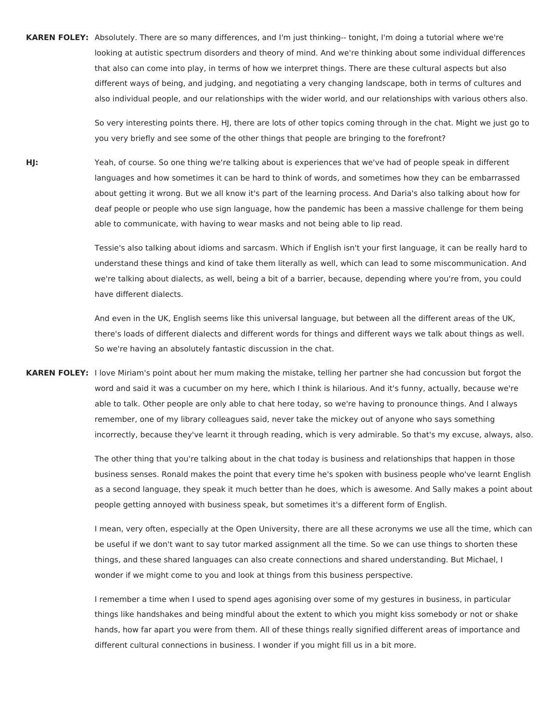**KAREN FOLEY:** Absolutely. There are so many differences, and I'm just thinking-- tonight, I'm doing a tutorial where we're looking at autistic spectrum disorders and theory of mind. And we're thinking about some individual differences that also can come into play, in terms of how we interpret things. There are these cultural aspects but also different ways of being, and judging, and negotiating a very changing landscape, both in terms of cultures and also individual people, and our relationships with the wider world, and our relationships with various others also.

> So very interesting points there. HJ, there are lots of other topics coming through in the chat. Might we just go to you very briefly and see some of the other things that people are bringing to the forefront?

**HJ:** Yeah, of course. So one thing we're talking about is experiences that we've had of people speak in different languages and how sometimes it can be hard to think of words, and sometimes how they can be embarrassed about getting it wrong. But we all know it's part of the learning process. And Daria's also talking about how for deaf people or people who use sign language, how the pandemic has been a massive challenge for them being able to communicate, with having to wear masks and not being able to lip read.

> Tessie's also talking about idioms and sarcasm. Which if English isn't your first language, it can be really hard to understand these things and kind of take them literally as well, which can lead to some miscommunication. And we're talking about dialects, as well, being a bit of a barrier, because, depending where you're from, you could have different dialects.

> And even in the UK, English seems like this universal language, but between all the different areas of the UK, there's loads of different dialects and different words for things and different ways we talk about things as well. So we're having an absolutely fantastic discussion in the chat.

**KAREN FOLEY:** I love Miriam's point about her mum making the mistake, telling her partner she had concussion but forgot the word and said it was a cucumber on my here, which I think is hilarious. And it's funny, actually, because we're able to talk. Other people are only able to chat here today, so we're having to pronounce things. And I always remember, one of my library colleagues said, never take the mickey out of anyone who says something incorrectly, because they've learnt it through reading, which is very admirable. So that's my excuse, always, also.

> The other thing that you're talking about in the chat today is business and relationships that happen in those business senses. Ronald makes the point that every time he's spoken with business people who've learnt English as a second language, they speak it much better than he does, which is awesome. And Sally makes a point about people getting annoyed with business speak, but sometimes it's a different form of English.

> I mean, very often, especially at the Open University, there are all these acronyms we use all the time, which can be useful if we don't want to say tutor marked assignment all the time. So we can use things to shorten these things, and these shared languages can also create connections and shared understanding. But Michael, I wonder if we might come to you and look at things from this business perspective.

I remember a time when I used to spend ages agonising over some of my gestures in business, in particular things like handshakes and being mindful about the extent to which you might kiss somebody or not or shake hands, how far apart you were from them. All of these things really signified different areas of importance and different cultural connections in business. I wonder if you might fill us in a bit more.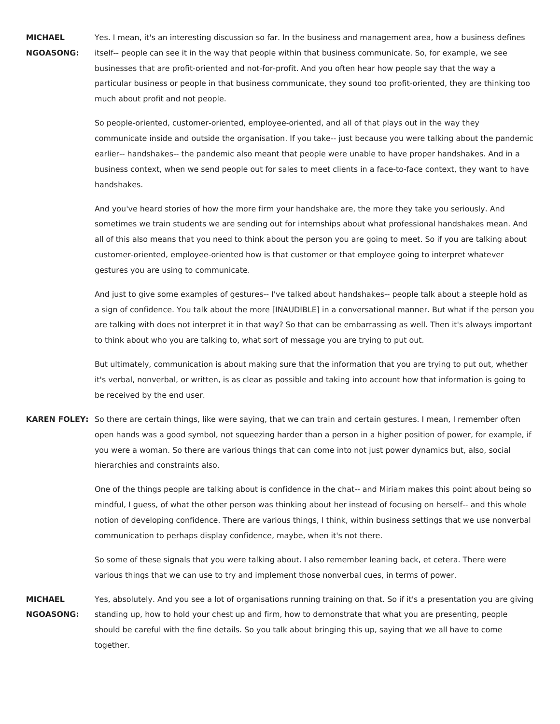**MICHAEL NGOASONG:** Yes. I mean, it's an interesting discussion so far. In the business and management area, how a business defines itself-- people can see it in the way that people within that business communicate. So, for example, we see businesses that are profit-oriented and not-for-profit. And you often hear how people say that the way a particular business or people in that business communicate, they sound too profit-oriented, they are thinking too much about profit and not people.

So people-oriented, customer-oriented, employee-oriented, and all of that plays out in the way they communicate inside and outside the organisation. If you take-- just because you were talking about the pandemic earlier-- handshakes-- the pandemic also meant that people were unable to have proper handshakes. And in a business context, when we send people out for sales to meet clients in a face-to-face context, they want to have handshakes.

And you've heard stories of how the more firm your handshake are, the more they take you seriously. And sometimes we train students we are sending out for internships about what professional handshakes mean. And all of this also means that you need to think about the person you are going to meet. So if you are talking about customer-oriented, employee-oriented how is that customer or that employee going to interpret whatever gestures you are using to communicate.

And just to give some examples of gestures-- I've talked about handshakes-- people talk about a steeple hold as a sign of confidence. You talk about the more [INAUDIBLE] in a conversational manner. But what if the person you are talking with does not interpret it in that way? So that can be embarrassing as well. Then it's always important to think about who you are talking to, what sort of message you are trying to put out.

But ultimately, communication is about making sure that the information that you are trying to put out, whether it's verbal, nonverbal, or written, is as clear as possible and taking into account how that information is going to be received by the end user.

**KAREN FOLEY:** So there are certain things, like were saying, that we can train and certain gestures. I mean, I remember often open hands was a good symbol, not squeezing harder than a person in a higher position of power, for example, if you were a woman. So there are various things that can come into not just power dynamics but, also, social hierarchies and constraints also.

> One of the things people are talking about is confidence in the chat-- and Miriam makes this point about being so mindful, I guess, of what the other person was thinking about her instead of focusing on herself-- and this whole notion of developing confidence. There are various things, I think, within business settings that we use nonverbal communication to perhaps display confidence, maybe, when it's not there.

So some of these signals that you were talking about. I also remember leaning back, et cetera. There were various things that we can use to try and implement those nonverbal cues, in terms of power.

**MICHAEL NGOASONG:** Yes, absolutely. And you see a lot of organisations running training on that. So if it's a presentation you are giving standing up, how to hold your chest up and firm, how to demonstrate that what you are presenting, people should be careful with the fine details. So you talk about bringing this up, saying that we all have to come together.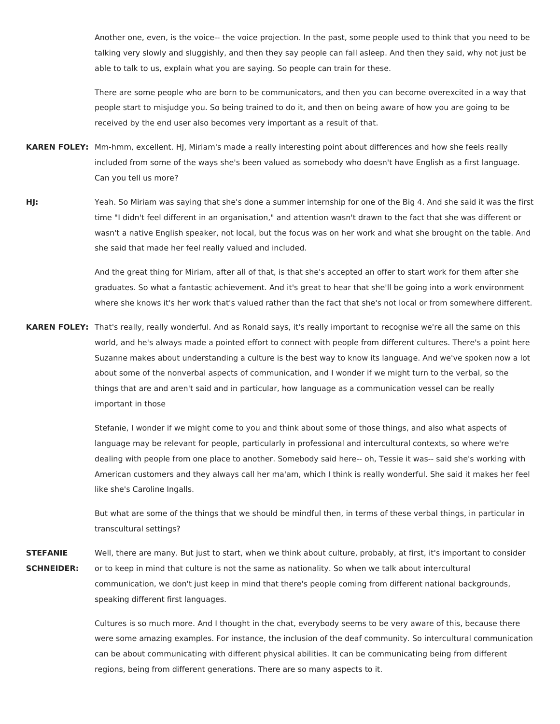Another one, even, is the voice-- the voice projection. In the past, some people used to think that you need to be talking very slowly and sluggishly, and then they say people can fall asleep. And then they said, why not just be able to talk to us, explain what you are saying. So people can train for these.

There are some people who are born to be communicators, and then you can become overexcited in a way that people start to misjudge you. So being trained to do it, and then on being aware of how you are going to be received by the end user also becomes very important as a result of that.

- **KAREN FOLEY:** Mm-hmm, excellent. HJ, Miriam's made a really interesting point about differences and how she feels really included from some of the ways she's been valued as somebody who doesn't have English as a first language. Can you tell us more?
- **HJ:** Yeah. So Miriam was saying that she's done a summer internship for one of the Big 4. And she said it was the first time "I didn't feel different in an organisation," and attention wasn't drawn to the fact that she was different or wasn't a native English speaker, not local, but the focus was on her work and what she brought on the table. And she said that made her feel really valued and included.

And the great thing for Miriam, after all of that, is that she's accepted an offer to start work for them after she graduates. So what a fantastic achievement. And it's great to hear that she'll be going into a work environment where she knows it's her work that's valued rather than the fact that she's not local or from somewhere different.

**KAREN FOLEY:** That's really, really wonderful. And as Ronald says, it's really important to recognise we're all the same on this world, and he's always made a pointed effort to connect with people from different cultures. There's a point here Suzanne makes about understanding a culture is the best way to know its language. And we've spoken now a lot about some of the nonverbal aspects of communication, and I wonder if we might turn to the verbal, so the things that are and aren't said and in particular, how language as a communication vessel can be really important in those

> Stefanie, I wonder if we might come to you and think about some of those things, and also what aspects of language may be relevant for people, particularly in professional and intercultural contexts, so where we're dealing with people from one place to another. Somebody said here-- oh, Tessie it was-- said she's working with American customers and they always call her ma'am, which I think is really wonderful. She said it makes her feel like she's Caroline Ingalls.

But what are some of the things that we should be mindful then, in terms of these verbal things, in particular in transcultural settings?

**STEFANIE SCHNEIDER:** Well, there are many. But just to start, when we think about culture, probably, at first, it's important to consider or to keep in mind that culture is not the same as nationality. So when we talk about intercultural communication, we don't just keep in mind that there's people coming from different national backgrounds, speaking different first languages.

> Cultures is so much more. And I thought in the chat, everybody seems to be very aware of this, because there were some amazing examples. For instance, the inclusion of the deaf community. So intercultural communication can be about communicating with different physical abilities. It can be communicating being from different regions, being from different generations. There are so many aspects to it.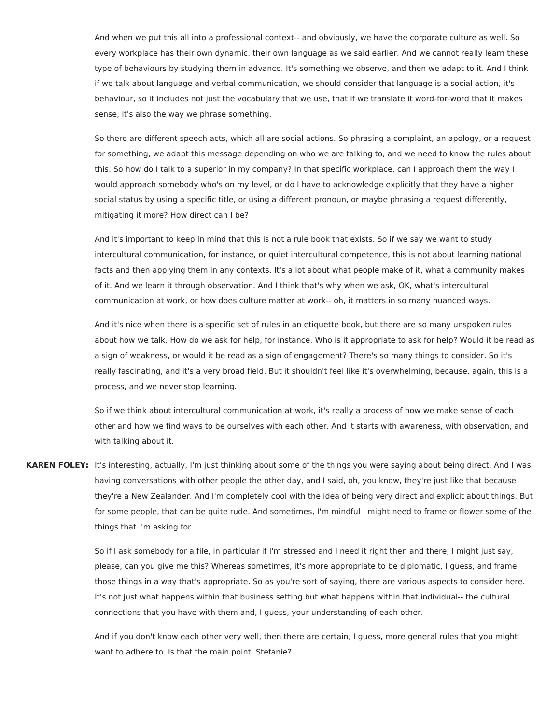And when we put this all into a professional context-- and obviously, we have the corporate culture as well. So every workplace has their own dynamic, their own language as we said earlier. And we cannot really learn these type of behaviours by studying them in advance. It's something we observe, and then we adapt to it. And I think if we talk about language and verbal communication, we should consider that language is a social action, it's behaviour, so it includes not just the vocabulary that we use, that if we translate it word-for-word that it makes sense, it's also the way we phrase something.

So there are different speech acts, which all are social actions. So phrasing a complaint, an apology, or a request for something, we adapt this message depending on who we are talking to, and we need to know the rules about this. So how do I talk to a superior in my company? In that specific workplace, can I approach them the way I would approach somebody who's on my level, or do I have to acknowledge explicitly that they have a higher social status by using a specific title, or using a different pronoun, or maybe phrasing a request differently, mitigating it more? How direct can I be?

And it's important to keep in mind that this is not a rule book that exists. So if we say we want to study intercultural communication, for instance, or quiet intercultural competence, this is not about learning national facts and then applying them in any contexts. It's a lot about what people make of it, what a community makes of it. And we learn it through observation. And I think that's why when we ask, OK, what's intercultural communication at work, or how does culture matter at work-- oh, it matters in so many nuanced ways.

And it's nice when there is a specific set of rules in an etiquette book, but there are so many unspoken rules about how we talk. How do we ask for help, for instance. Who is it appropriate to ask for help? Would it be read as a sign of weakness, or would it be read as a sign of engagement? There's so many things to consider. So it's really fascinating, and it's a very broad field. But it shouldn't feel like it's overwhelming, because, again, this is a process, and we never stop learning.

So if we think about intercultural communication at work, it's really a process of how we make sense of each other and how we find ways to be ourselves with each other. And it starts with awareness, with observation, and with talking about it.

**KAREN FOLEY:** It's interesting, actually, I'm just thinking about some of the things you were saying about being direct. And I was having conversations with other people the other day, and I said, oh, you know, they're just like that because they're a New Zealander. And I'm completely cool with the idea of being very direct and explicit about things. But for some people, that can be quite rude. And sometimes, I'm mindful I might need to frame or flower some of the things that I'm asking for.

> So if I ask somebody for a file, in particular if I'm stressed and I need it right then and there, I might just say, please, can you give me this? Whereas sometimes, it's more appropriate to be diplomatic, I guess, and frame those things in a way that's appropriate. So as you're sort of saying, there are various aspects to consider here. It's not just what happens within that business setting but what happens within that individual-- the cultural connections that you have with them and, I guess, your understanding of each other.

And if you don't know each other very well, then there are certain, I guess, more general rules that you might want to adhere to. Is that the main point, Stefanie?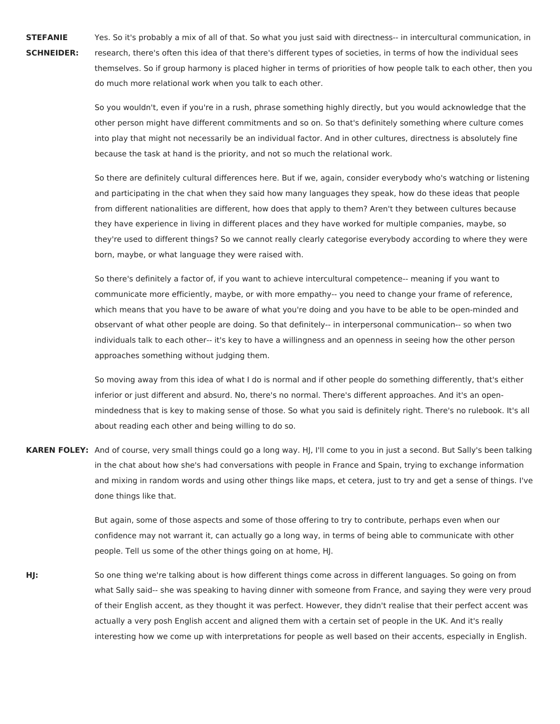**STEFANIE SCHNEIDER:** Yes. So it's probably a mix of all of that. So what you just said with directness-- in intercultural communication, in research, there's often this idea of that there's different types of societies, in terms of how the individual sees themselves. So if group harmony is placed higher in terms of priorities of how people talk to each other, then you do much more relational work when you talk to each other.

So you wouldn't, even if you're in a rush, phrase something highly directly, but you would acknowledge that the other person might have different commitments and so on. So that's definitely something where culture comes into play that might not necessarily be an individual factor. And in other cultures, directness is absolutely fine because the task at hand is the priority, and not so much the relational work.

So there are definitely cultural differences here. But if we, again, consider everybody who's watching or listening and participating in the chat when they said how many languages they speak, how do these ideas that people from different nationalities are different, how does that apply to them? Aren't they between cultures because they have experience in living in different places and they have worked for multiple companies, maybe, so they're used to different things? So we cannot really clearly categorise everybody according to where they were born, maybe, or what language they were raised with.

So there's definitely a factor of, if you want to achieve intercultural competence-- meaning if you want to communicate more efficiently, maybe, or with more empathy-- you need to change your frame of reference, which means that you have to be aware of what you're doing and you have to be able to be open-minded and observant of what other people are doing. So that definitely-- in interpersonal communication-- so when two individuals talk to each other-- it's key to have a willingness and an openness in seeing how the other person approaches something without judging them.

So moving away from this idea of what I do is normal and if other people do something differently, that's either inferior or just different and absurd. No, there's no normal. There's different approaches. And it's an openmindedness that is key to making sense of those. So what you said is definitely right. There's no rulebook. It's all about reading each other and being willing to do so.

**KAREN FOLEY:** And of course, very small things could go a long way. HJ, I'll come to you in just a second. But Sally's been talking in the chat about how she's had conversations with people in France and Spain, trying to exchange information and mixing in random words and using other things like maps, et cetera, just to try and get a sense of things. I've done things like that.

> But again, some of those aspects and some of those offering to try to contribute, perhaps even when our confidence may not warrant it, can actually go a long way, in terms of being able to communicate with other people. Tell us some of the other things going on at home, HJ.

**HJ:** So one thing we're talking about is how different things come across in different languages. So going on from what Sally said-- she was speaking to having dinner with someone from France, and saying they were very proud of their English accent, as they thought it was perfect. However, they didn't realise that their perfect accent was actually a very posh English accent and aligned them with a certain set of people in the UK. And it's really interesting how we come up with interpretations for people as well based on their accents, especially in English.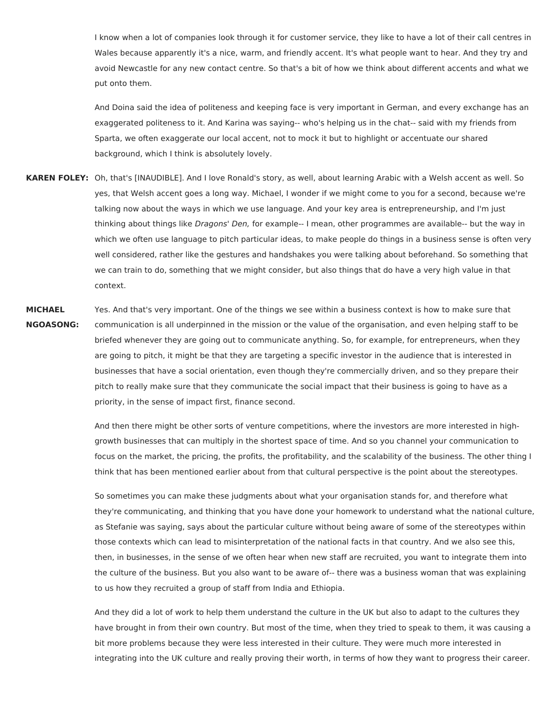I know when a lot of companies look through it for customer service, they like to have a lot of their call centres in Wales because apparently it's a nice, warm, and friendly accent. It's what people want to hear. And they try and avoid Newcastle for any new contact centre. So that's a bit of how we think about different accents and what we put onto them.

And Doina said the idea of politeness and keeping face is very important in German, and every exchange has an exaggerated politeness to it. And Karina was saying-- who's helping us in the chat-- said with my friends from Sparta, we often exaggerate our local accent, not to mock it but to highlight or accentuate our shared background, which I think is absolutely lovely.

- **KAREN FOLEY:** Oh, that's [INAUDIBLE]. And I love Ronald's story, as well, about learning Arabic with a Welsh accent as well. So yes, that Welsh accent goes a long way. Michael, I wonder if we might come to you for a second, because we're talking now about the ways in which we use language. And your key area is entrepreneurship, and I'm just thinking about things like *Dragons' Den*, for example-- I mean, other programmes are available-- but the way in which we often use language to pitch particular ideas, to make people do things in a business sense is often very well considered, rather like the gestures and handshakes you were talking about beforehand. So something that we can train to do, something that we might consider, but also things that do have a very high value in that context.
- **MICHAEL NGOASONG:** Yes. And that's very important. One of the things we see within a business context is how to make sure that communication is all underpinned in the mission or the value of the organisation, and even helping staff to be briefed whenever they are going out to communicate anything. So, for example, for entrepreneurs, when they are going to pitch, it might be that they are targeting a specific investor in the audience that is interested in businesses that have a social orientation, even though they're commercially driven, and so they prepare their pitch to really make sure that they communicate the social impact that their business is going to have as a priority, in the sense of impact first, finance second.

And then there might be other sorts of venture competitions, where the investors are more interested in highgrowth businesses that can multiply in the shortest space of time. And so you channel your communication to focus on the market, the pricing, the profits, the profitability, and the scalability of the business. The other thing I think that has been mentioned earlier about from that cultural perspective is the point about the stereotypes.

So sometimes you can make these judgments about what your organisation stands for, and therefore what they're communicating, and thinking that you have done your homework to understand what the national culture, as Stefanie was saying, says about the particular culture without being aware of some of the stereotypes within those contexts which can lead to misinterpretation of the national facts in that country. And we also see this, then, in businesses, in the sense of we often hear when new staff are recruited, you want to integrate them into the culture of the business. But you also want to be aware of-- there was a business woman that was explaining to us how they recruited a group of staff from India and Ethiopia.

And they did a lot of work to help them understand the culture in the UK but also to adapt to the cultures they have brought in from their own country. But most of the time, when they tried to speak to them, it was causing a bit more problems because they were less interested in their culture. They were much more interested in integrating into the UK culture and really proving their worth, in terms of how they want to progress their career.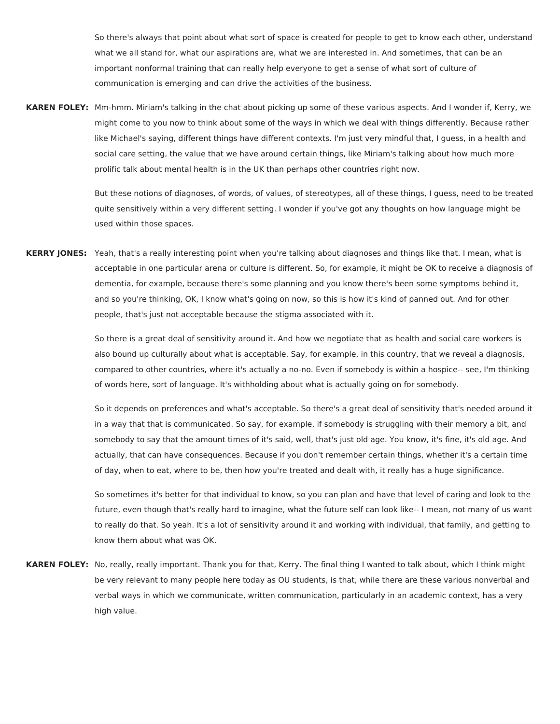So there's always that point about what sort of space is created for people to get to know each other, understand what we all stand for, what our aspirations are, what we are interested in. And sometimes, that can be an important nonformal training that can really help everyone to get a sense of what sort of culture of communication is emerging and can drive the activities of the business.

**KAREN FOLEY:** Mm-hmm. Miriam's talking in the chat about picking up some of these various aspects. And I wonder if, Kerry, we might come to you now to think about some of the ways in which we deal with things differently. Because rather like Michael's saying, different things have different contexts. I'm just very mindful that, I guess, in a health and social care setting, the value that we have around certain things, like Miriam's talking about how much more prolific talk about mental health is in the UK than perhaps other countries right now.

> But these notions of diagnoses, of words, of values, of stereotypes, all of these things, I guess, need to be treated quite sensitively within a very different setting. I wonder if you've got any thoughts on how language might be used within those spaces.

**KERRY JONES:** Yeah, that's a really interesting point when you're talking about diagnoses and things like that. I mean, what is acceptable in one particular arena or culture is different. So, for example, it might be OK to receive a diagnosis of dementia, for example, because there's some planning and you know there's been some symptoms behind it, and so you're thinking, OK, I know what's going on now, so this is how it's kind of panned out. And for other people, that's just not acceptable because the stigma associated with it.

> So there is a great deal of sensitivity around it. And how we negotiate that as health and social care workers is also bound up culturally about what is acceptable. Say, for example, in this country, that we reveal a diagnosis, compared to other countries, where it's actually a no-no. Even if somebody is within a hospice-- see, I'm thinking of words here, sort of language. It's withholding about what is actually going on for somebody.

> So it depends on preferences and what's acceptable. So there's a great deal of sensitivity that's needed around it in a way that that is communicated. So say, for example, if somebody is struggling with their memory a bit, and somebody to say that the amount times of it's said, well, that's just old age. You know, it's fine, it's old age. And actually, that can have consequences. Because if you don't remember certain things, whether it's a certain time of day, when to eat, where to be, then how you're treated and dealt with, it really has a huge significance.

> So sometimes it's better for that individual to know, so you can plan and have that level of caring and look to the future, even though that's really hard to imagine, what the future self can look like-- I mean, not many of us want to really do that. So yeah. It's a lot of sensitivity around it and working with individual, that family, and getting to know them about what was OK.

**KAREN FOLEY:** No, really, really important. Thank you for that, Kerry. The final thing I wanted to talk about, which I think might be very relevant to many people here today as OU students, is that, while there are these various nonverbal and verbal ways in which we communicate, written communication, particularly in an academic context, has a very high value.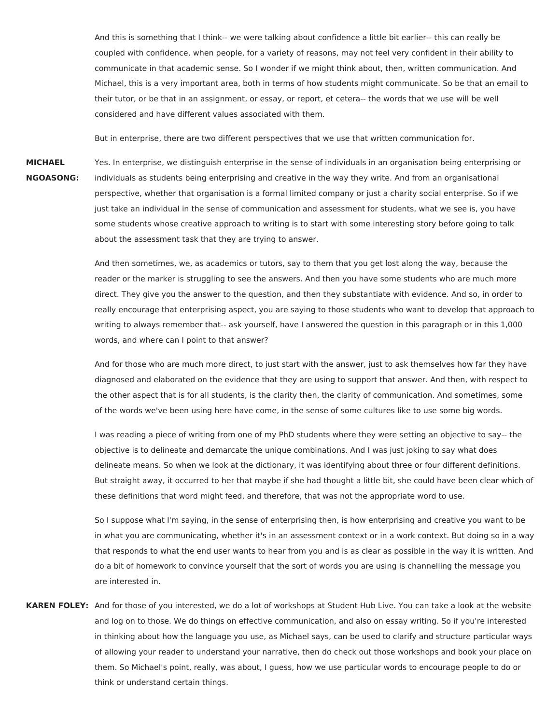And this is something that I think-- we were talking about confidence a little bit earlier-- this can really be coupled with confidence, when people, for a variety of reasons, may not feel very confident in their ability to communicate in that academic sense. So I wonder if we might think about, then, written communication. And Michael, this is a very important area, both in terms of how students might communicate. So be that an email to their tutor, or be that in an assignment, or essay, or report, et cetera-- the words that we use will be well considered and have different values associated with them.

But in enterprise, there are two different perspectives that we use that written communication for.

**MICHAEL NGOASONG:** Yes. In enterprise, we distinguish enterprise in the sense of individuals in an organisation being enterprising or individuals as students being enterprising and creative in the way they write. And from an organisational perspective, whether that organisation is a formal limited company or just a charity social enterprise. So if we just take an individual in the sense of communication and assessment for students, what we see is, you have some students whose creative approach to writing is to start with some interesting story before going to talk about the assessment task that they are trying to answer.

> And then sometimes, we, as academics or tutors, say to them that you get lost along the way, because the reader or the marker is struggling to see the answers. And then you have some students who are much more direct. They give you the answer to the question, and then they substantiate with evidence. And so, in order to really encourage that enterprising aspect, you are saying to those students who want to develop that approach to writing to always remember that-- ask yourself, have I answered the question in this paragraph or in this 1,000 words, and where can I point to that answer?

And for those who are much more direct, to just start with the answer, just to ask themselves how far they have diagnosed and elaborated on the evidence that they are using to support that answer. And then, with respect to the other aspect that is for all students, is the clarity then, the clarity of communication. And sometimes, some of the words we've been using here have come, in the sense of some cultures like to use some big words.

I was reading a piece of writing from one of my PhD students where they were setting an objective to say-- the objective is to delineate and demarcate the unique combinations. And I was just joking to say what does delineate means. So when we look at the dictionary, it was identifying about three or four different definitions. But straight away, it occurred to her that maybe if she had thought a little bit, she could have been clear which of these definitions that word might feed, and therefore, that was not the appropriate word to use.

So I suppose what I'm saying, in the sense of enterprising then, is how enterprising and creative you want to be in what you are communicating, whether it's in an assessment context or in a work context. But doing so in a way that responds to what the end user wants to hear from you and is as clear as possible in the way it is written. And do a bit of homework to convince yourself that the sort of words you are using is channelling the message you are interested in.

**KAREN FOLEY:** And for those of you interested, we do a lot of workshops at Student Hub Live. You can take a look at the website and log on to those. We do things on effective communication, and also on essay writing. So if you're interested in thinking about how the language you use, as Michael says, can be used to clarify and structure particular ways of allowing your reader to understand your narrative, then do check out those workshops and book your place on them. So Michael's point, really, was about, I guess, how we use particular words to encourage people to do or think or understand certain things.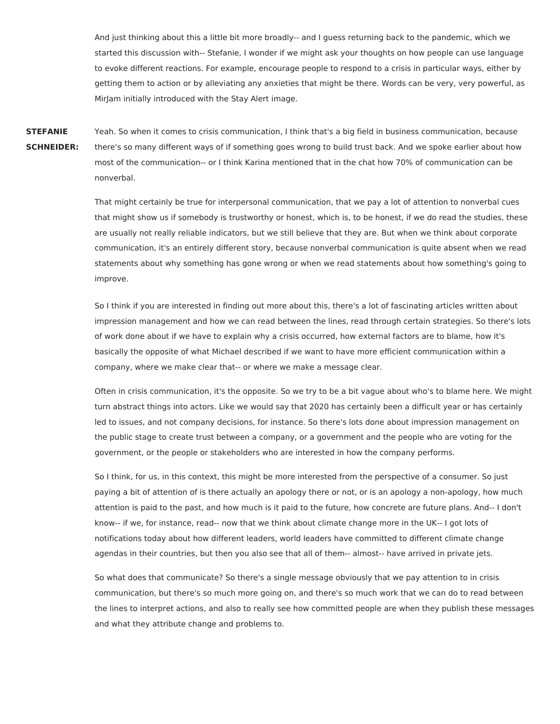And just thinking about this a little bit more broadly-- and I guess returning back to the pandemic, which we started this discussion with-- Stefanie, I wonder if we might ask your thoughts on how people can use language to evoke different reactions. For example, encourage people to respond to a crisis in particular ways, either by getting them to action or by alleviating any anxieties that might be there. Words can be very, very powerful, as MirJam initially introduced with the Stay Alert image.

## **STEFANIE SCHNEIDER:** Yeah. So when it comes to crisis communication, I think that's a big field in business communication, because there's so many different ways of if something goes wrong to build trust back. And we spoke earlier about how most of the communication-- or I think Karina mentioned that in the chat how 70% of communication can be nonverbal.

That might certainly be true for interpersonal communication, that we pay a lot of attention to nonverbal cues that might show us if somebody is trustworthy or honest, which is, to be honest, if we do read the studies, these are usually not really reliable indicators, but we still believe that they are. But when we think about corporate communication, it's an entirely different story, because nonverbal communication is quite absent when we read statements about why something has gone wrong or when we read statements about how something's going to improve.

So I think if you are interested in finding out more about this, there's a lot of fascinating articles written about impression management and how we can read between the lines, read through certain strategies. So there's lots of work done about if we have to explain why a crisis occurred, how external factors are to blame, how it's basically the opposite of what Michael described if we want to have more efficient communication within a company, where we make clear that-- or where we make a message clear.

Often in crisis communication, it's the opposite. So we try to be a bit vague about who's to blame here. We might turn abstract things into actors. Like we would say that 2020 has certainly been a difficult year or has certainly led to issues, and not company decisions, for instance. So there's lots done about impression management on the public stage to create trust between a company, or a government and the people who are voting for the government, or the people or stakeholders who are interested in how the company performs.

So I think, for us, in this context, this might be more interested from the perspective of a consumer. So just paying a bit of attention of is there actually an apology there or not, or is an apology a non-apology, how much attention is paid to the past, and how much is it paid to the future, how concrete are future plans. And-- I don't know-- if we, for instance, read-- now that we think about climate change more in the UK-- I got lots of notifications today about how different leaders, world leaders have committed to different climate change agendas in their countries, but then you also see that all of them-- almost-- have arrived in private jets.

So what does that communicate? So there's a single message obviously that we pay attention to in crisis communication, but there's so much more going on, and there's so much work that we can do to read between the lines to interpret actions, and also to really see how committed people are when they publish these messages and what they attribute change and problems to.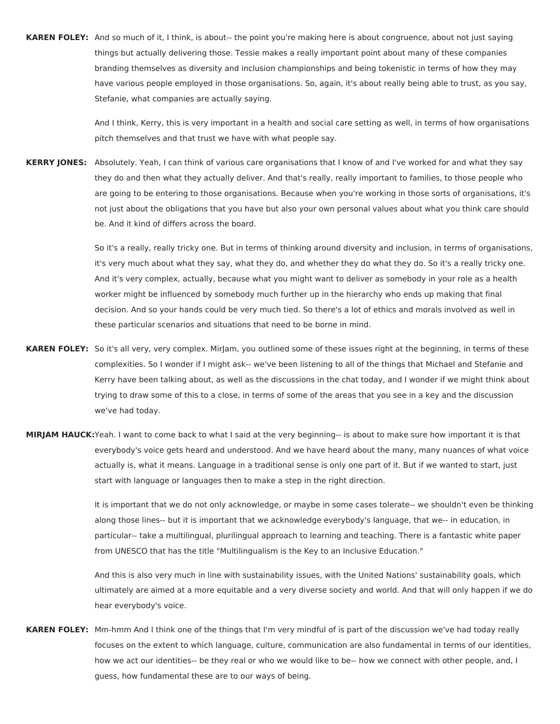**KAREN FOLEY:** And so much of it, I think, is about-- the point you're making here is about congruence, about not just saying things but actually delivering those. Tessie makes a really important point about many of these companies branding themselves as diversity and inclusion championships and being tokenistic in terms of how they may have various people employed in those organisations. So, again, it's about really being able to trust, as you say, Stefanie, what companies are actually saying.

> And I think, Kerry, this is very important in a health and social care setting as well, in terms of how organisations pitch themselves and that trust we have with what people say.

**KERRY JONES:** Absolutely. Yeah, I can think of various care organisations that I know of and I've worked for and what they say they do and then what they actually deliver. And that's really, really important to families, to those people who are going to be entering to those organisations. Because when you're working in those sorts of organisations, it's not just about the obligations that you have but also your own personal values about what you think care should be. And it kind of differs across the board.

> So it's a really, really tricky one. But in terms of thinking around diversity and inclusion, in terms of organisations, it's very much about what they say, what they do, and whether they do what they do. So it's a really tricky one. And it's very complex, actually, because what you might want to deliver as somebody in your role as a health worker might be influenced by somebody much further up in the hierarchy who ends up making that final decision. And so your hands could be very much tied. So there's a lot of ethics and morals involved as well in these particular scenarios and situations that need to be borne in mind.

- **KAREN FOLEY:** So it's all very, very complex. MirJam, you outlined some of these issues right at the beginning, in terms of these complexities. So I wonder if I might ask-- we've been listening to all of the things that Michael and Stefanie and Kerry have been talking about, as well as the discussions in the chat today, and I wonder if we might think about trying to draw some of this to a close, in terms of some of the areas that you see in a key and the discussion we've had today.
- **MIRJAM HAUCK:**Yeah. I want to come back to what I said at the very beginning-- is about to make sure how important it is that everybody's voice gets heard and understood. And we have heard about the many, many nuances of what voice actually is, what it means. Language in a traditional sense is only one part of it. But if we wanted to start, just start with language or languages then to make a step in the right direction.

It is important that we do not only acknowledge, or maybe in some cases tolerate-- we shouldn't even be thinking along those lines-- but it is important that we acknowledge everybody's language, that we-- in education, in particular-- take a multilingual, plurilingual approach to learning and teaching. There is a fantastic white paper from UNESCO that has the title "Multilingualism is the Key to an Inclusive Education."

And this is also very much in line with sustainability issues, with the United Nations' sustainability goals, which ultimately are aimed at a more equitable and a very diverse society and world. And that will only happen if we do hear everybody's voice.

**KAREN FOLEY:** Mm-hmm And I think one of the things that I'm very mindful of is part of the discussion we've had today really focuses on the extent to which language, culture, communication are also fundamental in terms of our identities, how we act our identities-- be they real or who we would like to be-- how we connect with other people, and, I guess, how fundamental these are to our ways of being.